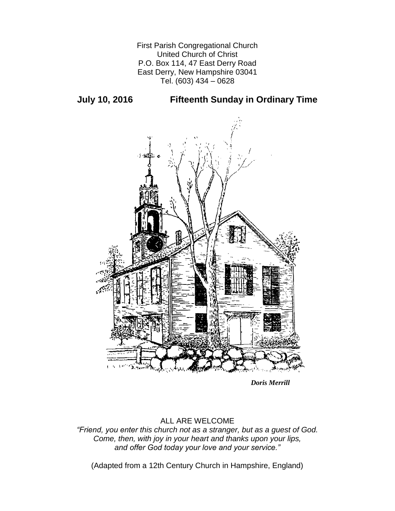First Parish Congregational Church United Church of Christ P.O. Box 114, 47 East Derry Road East Derry, New Hampshire 03041 Tel. (603) 434 – 0628

**July 10, 2016 Fifteenth Sunday in Ordinary Time**



*Doris Merrill*

## ALL ARE WELCOME

*"Friend, you enter this church not as a stranger, but as a guest of God. Come, then, with joy in your heart and thanks upon your lips, and offer God today your love and your service."*

(Adapted from a 12th Century Church in Hampshire, England)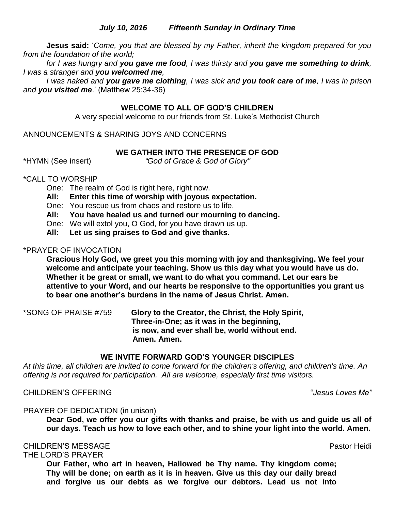### *July 10, 2016 Fifteenth Sunday in Ordinary Time*

**Jesus said:** '*Come, you that are blessed by my Father, inherit the kingdom prepared for you from the foundation of the world;* 

*for I was hungry and you gave me food, I was thirsty and you gave me something to drink, I was a stranger and you welcomed me,* 

*I was naked and you gave me clothing, I was sick and you took care of me, I was in prison and you visited me*.' (Matthew 25:34-36)

### **WELCOME TO ALL OF GOD'S CHILDREN**

A very special welcome to our friends from St. Luke's Methodist Church

ANNOUNCEMENTS & SHARING JOYS AND CONCERNS

### **WE GATHER INTO THE PRESENCE OF GOD**

\*HYMN (See insert) *"God of Grace & God of Glory"*

### \*CALL TO WORSHIP

One: The realm of God is right here, right now.

**All: Enter this time of worship with joyous expectation.**

One: You rescue us from chaos and restore us to life.

**All: You have healed us and turned our mourning to dancing.**

One: We will extol you, O God, for you have drawn us up.

**All: Let us sing praises to God and give thanks.**

### \*PRAYER OF INVOCATION

**Gracious Holy God, we greet you this morning with joy and thanksgiving. We feel your welcome and anticipate your teaching. Show us this day what you would have us do. Whether it be great or small, we want to do what you command. Let our ears be attentive to your Word, and our hearts be responsive to the opportunities you grant us to bear one another's burdens in the name of Jesus Christ. Amen.**

\*SONG OF PRAISE #759 **Glory to the Creator, the Christ, the Holy Spirit, Three-in-One; as it was in the beginning, is now, and ever shall be, world without end. Amen. Amen.**

#### **WE INVITE FORWARD GOD'S YOUNGER DISCIPLES**

*At this time, all children are invited to come forward for the children's offering, and children's time. An offering is not required for participation. All are welcome, especially first time visitors.*

CHILDREN'S OFFERING "*Jesus Loves Me"*

#### PRAYER OF DEDICATION (in unison)

**Dear God, we offer you our gifts with thanks and praise, be with us and guide us all of our days. Teach us how to love each other, and to shine your light into the world. Amen.**

### CHILDREN'S MESSAGE PASTO AND THE SERVICE OF THE SERVICE OF THE PASTO HEIDI

THE LORD'S PRAYER

**Our Father, who art in heaven, Hallowed be Thy name. Thy kingdom come; Thy will be done; on earth as it is in heaven. Give us this day our daily bread and forgive us our debts as we forgive our debtors. Lead us not into**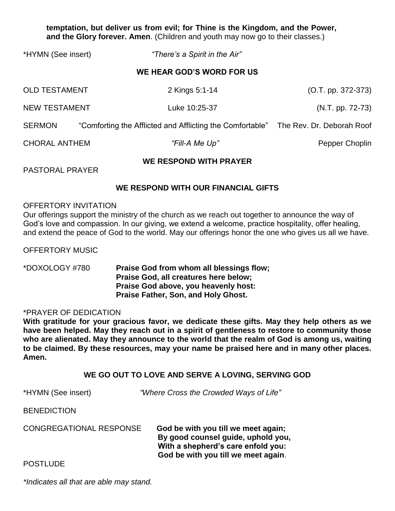**temptation, but deliver us from evil; for Thine is the Kingdom, and the Power, and the Glory forever. Amen**. (Children and youth may now go to their classes.)

| *HYMN (See insert)        |  | "There's a Spirit in the Air"                                                       |                      |
|---------------------------|--|-------------------------------------------------------------------------------------|----------------------|
| WE HEAR GOD'S WORD FOR US |  |                                                                                     |                      |
| <b>OLD TESTAMENT</b>      |  | 2 Kings 5:1-14                                                                      | $(O.T. pp. 372-373)$ |
| <b>NEW TESTAMENT</b>      |  | Luke 10:25-37                                                                       | $(N.T. pp. 72-73)$   |
| <b>SERMON</b>             |  | "Comforting the Afflicted and Afflicting the Comfortable" The Rev. Dr. Deborah Roof |                      |
| <b>CHORAL ANTHEM</b>      |  | "Fill-A Me Up"                                                                      | Pepper Choplin       |
| WE RESPOND WITH PRAYER    |  |                                                                                     |                      |

PASTORAL PRAYER

### **WE RESPOND WITH OUR FINANCIAL GIFTS**

#### OFFERTORY INVITATION

Our offerings support the ministry of the church as we reach out together to announce the way of God's love and compassion. In our giving, we extend a welcome, practice hospitality, offer healing, and extend the peace of God to the world. May our offerings honor the one who gives us all we have.

OFFERTORY MUSIC

\*DOXOLOGY #780 **Praise God from whom all blessings flow; Praise God, all creatures here below; Praise God above, you heavenly host: Praise Father, Son, and Holy Ghost.**

#### \*PRAYER OF DEDICATION

**With gratitude for your gracious favor, we dedicate these gifts. May they help others as we have been helped. May they reach out in a spirit of gentleness to restore to community those who are alienated. May they announce to the world that the realm of God is among us, waiting to be claimed. By these resources, may your name be praised here and in many other places. Amen.**

#### **WE GO OUT TO LOVE AND SERVE A LOVING, SERVING GOD**

\*HYMN (See insert) *"Where Cross the Crowded Ways of Life"*

**BENEDICTION** 

CONGREGATIONAL RESPONSE**God be with you till we meet again; By good counsel guide, uphold you, With a shepherd's care enfold you: God be with you till we meet again**.

**POSTLUDE** 

*\*Indicates all that are able may stand.*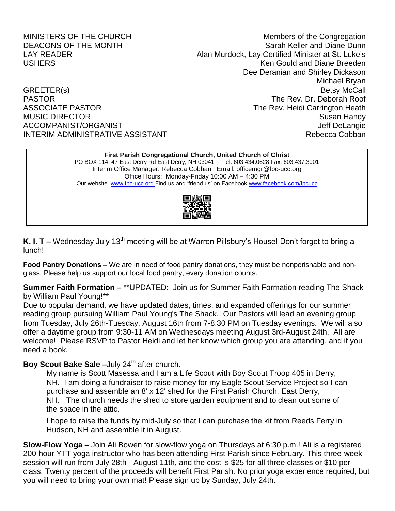MINISTERS OF THE CHURCH MINISTERS OF THE CHURCH DEACONS OF THE MONTH SARAH SARAH SARAH Keller and Diane Dunn LAY READER **Alan Murdock, Lay Certified Minister at St. Luke's** USHERS Ken Gould and Diane Breeden Dee Deranian and Shirley Dickason Michael Bryan GREETER(s) Betsy McCall PASTOR The Rev. Dr. Deborah Roof ASSOCIATE PASTOR **The Rev. Heidi Carrington Heath** MUSIC DIRECTOR Susan Handy ACCOMPANIST/ORGANIST ACCOMPANIST ACCOMPANIST/ORGANIST INTERIM ADMINISTRATIVE ASSISTANT NEW REDUCTION Rebecca Cobban

**First Parish Congregational Church, United Church of Christ**

PO BOX 114, 47 East Derry Rd East Derry, NH 03041 Tel. 603.434.0628 Fax. 603.437.3001 Interim Office Manager: Rebecca Cobban Email: officemgr@fpc-ucc.org Office Hours: Monday-Friday 10:00 AM – 4:30 PM Our website [www.fpc-ucc.org](http://www.fpc-ucc.org/) Find us and 'friend us' on Faceboo[k www.facebook.com/fpcucc](http://www.facebook.com/fpcucc)



**K. I. T** – Wednesday July 13<sup>th</sup> meeting will be at Warren Pillsbury's House! Don't forget to bring a lunch!

**Food Pantry Donations –** We are in need of food pantry donations, they must be nonperishable and nonglass. Please help us support our local food pantry, every donation counts.

**Summer Faith Formation –** \*\*UPDATED: Join us for Summer Faith Formation reading The Shack by William Paul Young!\*\*

Due to popular demand, we have updated dates, times, and expanded offerings for our summer reading group pursuing William Paul Young's The Shack. Our Pastors will lead an evening group from Tuesday, July 26th-Tuesday, August 16th from 7-8:30 PM on Tuesday evenings. We will also offer a daytime group from 9:30-11 AM on Wednesdays meeting August 3rd-August 24th. All are welcome! Please RSVP to Pastor Heidi and let her know which group you are attending, and if you need a book.

# **Boy Scout Bake Sale –July 24<sup>th</sup> after church.**

My name is Scott Masessa and I am a Life Scout with Boy Scout Troop 405 in Derry, NH. I am doing a fundraiser to raise money for my Eagle Scout Service Project so I can purchase and assemble an 8' x 12' shed for the First Parish Church, East Derry, NH. The church needs the shed to store garden equipment and to clean out some of the space in the attic.

I hope to raise the funds by mid-July so that I can purchase the kit from Reeds Ferry in Hudson, NH and assemble it in August.

**Slow-Flow Yoga –** Join Ali Bowen for slow-flow yoga on Thursdays at 6:30 p.m.! Ali is a registered 200-hour YTT yoga instructor who has been attending First Parish since February. This three-week session will run from July 28th - August 11th, and the cost is \$25 for all three classes or \$10 per class. Twenty percent of the proceeds will benefit First Parish. No prior yoga experience required, but you will need to bring your own mat! Please sign up by Sunday, July 24th.